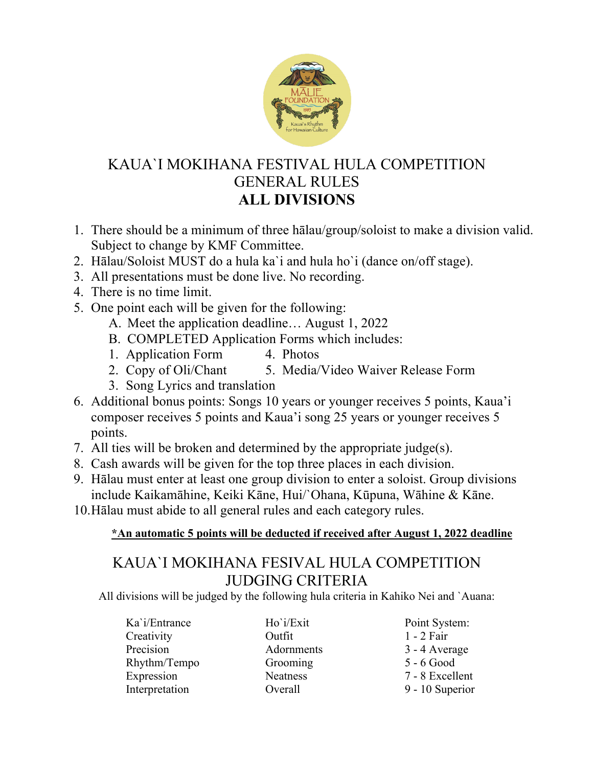

### KAUA`I MOKIHANA FESTIVAL HULA COMPETITION GENERAL RULES **ALL DIVISIONS**

- 1. There should be a minimum of three hālau/group/soloist to make a division valid. Subject to change by KMF Committee.
- 2. Hālau/Soloist MUST do a hula ka`i and hula ho`i (dance on/off stage).
- 3. All presentations must be done live. No recording.
- 4. There is no time limit.
- 5. One point each will be given for the following:
	- A. Meet the application deadline… August 1, 2022
	- B. COMPLETED Application Forms which includes:
	- 1. Application Form 4. Photos
	- 2. Copy of Oli/Chant 5. Media/Video Waiver Release Form
	- 3. Song Lyrics and translation
- 6. Additional bonus points: Songs 10 years or younger receives 5 points, Kaua'i composer receives 5 points and Kaua'i song 25 years or younger receives 5 points.
- 7. All ties will be broken and determined by the appropriate judge(s).
- 8. Cash awards will be given for the top three places in each division.
- 9. Hālau must enter at least one group division to enter a soloist. Group divisions include Kaikamāhine, Keiki Kāne, Hui/`Ohana, Kūpuna, Wāhine & Kāne.
- 10.Hālau must abide to all general rules and each category rules.

#### **\*An automatic 5 points will be deducted if received after August 1, 2022 deadline**

### KAUA`I MOKIHANA FESIVAL HULA COMPETITION JUDGING CRITERIA

All divisions will be judged by the following hula criteria in Kahiko Nei and `Auana:

Creativity **Outfit** 1 - 2 Fair Precision Adornments 3 - 4 Average Rhythm/Tempo Grooming 5 - 6 Good Expression Neatness 7 - 8 Excellent Interpretation Overall 9 - 10 Superior

Ka`i/Entrance Ho`i/Exit Point System: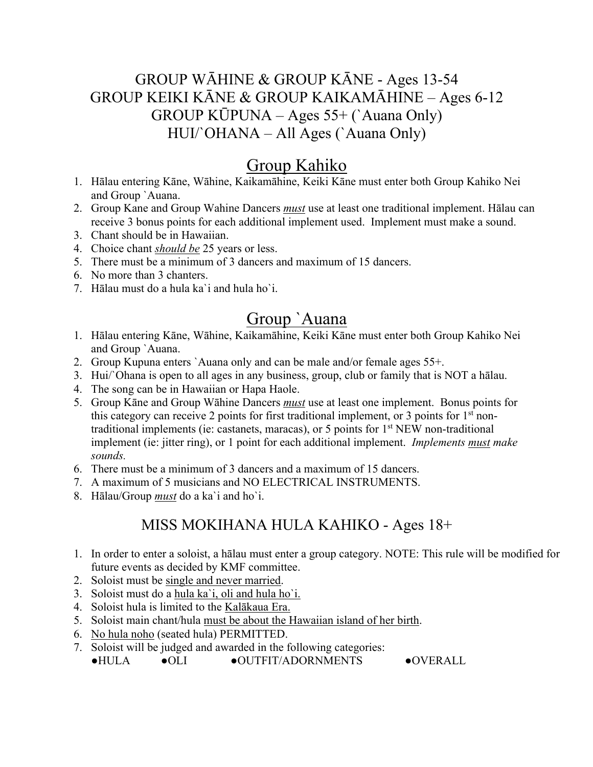#### GROUP WĀHINE & GROUP KĀNE - Ages 13-54 GROUP KEIKI KĀNE & GROUP KAIKAMĀHINE – Ages 6-12 GROUP KŪPUNA – Ages 55+ (`Auana Only) HUI/`OHANA – All Ages (`Auana Only)

## Group Kahiko

- 1. Hālau entering Kāne, Wāhine, Kaikamāhine, Keiki Kāne must enter both Group Kahiko Nei and Group `Auana.
- 2. Group Kane and Group Wahine Dancers *must* use at least one traditional implement. Hālau can receive 3 bonus points for each additional implement used. Implement must make a sound.
- 3. Chant should be in Hawaiian.
- 4. Choice chant *should be* 25 years or less.
- 5. There must be a minimum of 3 dancers and maximum of 15 dancers.
- 6. No more than 3 chanters.
- 7. Hālau must do a hula ka`i and hula ho`i.

## Group `Auana

- 1. Hālau entering Kāne, Wāhine, Kaikamāhine, Keiki Kāne must enter both Group Kahiko Nei and Group `Auana.
- 2. Group Kupuna enters `Auana only and can be male and/or female ages 55+.
- 3. Hui/`Ohana is open to all ages in any business, group, club or family that is NOT a hālau.
- 4. The song can be in Hawaiian or Hapa Haole.
- 5. Group Kāne and Group Wāhine Dancers *must* use at least one implement. Bonus points for this category can receive 2 points for first traditional implement, or 3 points for  $1<sup>st</sup>$  nontraditional implements (ie: castanets, maracas), or 5 points for  $1<sup>st</sup> NEW non-traditional$ implement (ie: jitter ring), or 1 point for each additional implement. *Implements must make sounds.*
- 6. There must be a minimum of 3 dancers and a maximum of 15 dancers.
- 7. A maximum of 5 musicians and NO ELECTRICAL INSTRUMENTS.
- 8. Hālau/Group *must* do a ka`i and ho`i.

#### MISS MOKIHANA HULA KAHIKO - Ages 18+

- 1. In order to enter a soloist, a hālau must enter a group category. NOTE: This rule will be modified for future events as decided by KMF committee.
- 2. Soloist must be single and never married.
- 3. Soloist must do a hula ka`i, oli and hula ho`i.
- 4. Soloist hula is limited to the Kalākaua Era.
- 5. Soloist main chant/hula must be about the Hawaiian island of her birth.
- 6. No hula noho (seated hula) PERMITTED.
- 7. Soloist will be judged and awarded in the following categories:

●HULA ●OLI ●OUTFIT/ADORNMENTS ●OVERALL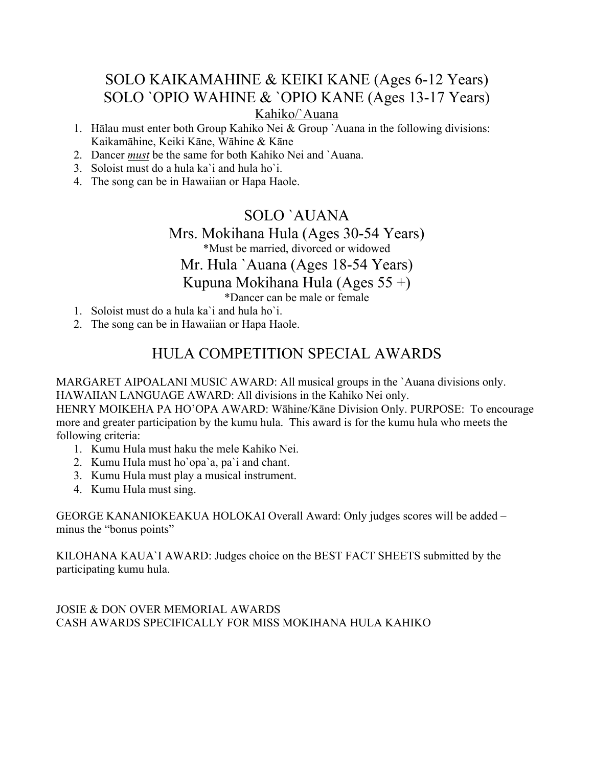#### SOLO KAIKAMAHINE & KEIKI KANE (Ages 6-12 Years) SOLO `OPIO WAHINE & `OPIO KANE (Ages 13-17 Years) Kahiko/`Auana

- 1. Hālau must enter both Group Kahiko Nei & Group `Auana in the following divisions: Kaikamāhine, Keiki Kāne, Wāhine & Kāne
- 2. Dancer *must* be the same for both Kahiko Nei and `Auana.
- 3. Soloist must do a hula ka`i and hula ho`i.
- 4. The song can be in Hawaiian or Hapa Haole.

#### SOLO `AUANA Mrs. Mokihana Hula (Ages 30-54 Years) \*Must be married, divorced or widowed Mr. Hula `Auana (Ages 18-54 Years) Kupuna Mokihana Hula (Ages 55 +)

\*Dancer can be male or female

- 1. Soloist must do a hula ka`i and hula ho`i.
- 2. The song can be in Hawaiian or Hapa Haole.

#### HULA COMPETITION SPECIAL AWARDS

MARGARET AIPOALANI MUSIC AWARD: All musical groups in the `Auana divisions only. HAWAIIAN LANGUAGE AWARD: All divisions in the Kahiko Nei only.

HENRY MOIKEHA PA HO'OPA AWARD: Wāhine/Kāne Division Only. PURPOSE: To encourage more and greater participation by the kumu hula. This award is for the kumu hula who meets the following criteria:

- 1. Kumu Hula must haku the mele Kahiko Nei.
- 2. Kumu Hula must ho`opa`a, pa`i and chant.
- 3. Kumu Hula must play a musical instrument.
- 4. Kumu Hula must sing.

GEORGE KANANIOKEAKUA HOLOKAI Overall Award: Only judges scores will be added – minus the "bonus points"

KILOHANA KAUA`I AWARD: Judges choice on the BEST FACT SHEETS submitted by the participating kumu hula.

JOSIE & DON OVER MEMORIAL AWARDS CASH AWARDS SPECIFICALLY FOR MISS MOKIHANA HULA KAHIKO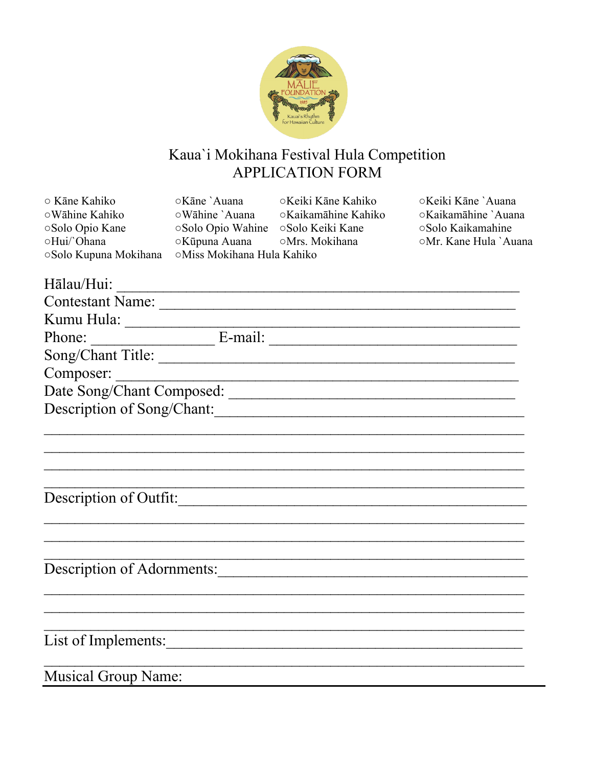

# Kaua'i Mokihana Festival Hula Competition<br>APPLICATION FORM

| ○ Kāne Kahiko                                                                                                  | ○Kāne `Auana                      | ○Keiki Kāne Kahiko                 | ○Keiki Kāne `Auana                         |
|----------------------------------------------------------------------------------------------------------------|-----------------------------------|------------------------------------|--------------------------------------------|
| ⊙Wāhine Kahiko                                                                                                 | oWāhine `Auana                    | ○Kaikamāhine Kahiko                | ○Kaikamāhine `Auana                        |
| Solo Opio Kane<br>OHui/'Ohana                                                                                  | Solo Opio Wahine<br>⊙Kūpuna Auana | ⊙Solo Keiki Kane<br>○Mrs. Mokihana | ○Solo Kaikamahine<br>○Mr. Kane Hula `Auana |
| ⊙Solo Kupuna Mokihana                                                                                          | ○Miss Mokihana Hula Kahiko        |                                    |                                            |
|                                                                                                                |                                   |                                    |                                            |
| Hālau/Hui:                                                                                                     |                                   |                                    |                                            |
|                                                                                                                |                                   | Contestant Name:                   |                                            |
|                                                                                                                |                                   |                                    |                                            |
|                                                                                                                |                                   |                                    |                                            |
|                                                                                                                |                                   | Song/Chant Title:                  |                                            |
| Composer:                                                                                                      |                                   |                                    |                                            |
| Date Song/Chant Composed:                                                                                      |                                   |                                    |                                            |
| Description of Song/Chant:                                                                                     |                                   |                                    |                                            |
|                                                                                                                |                                   |                                    |                                            |
|                                                                                                                |                                   |                                    |                                            |
|                                                                                                                |                                   |                                    |                                            |
|                                                                                                                |                                   |                                    |                                            |
| Description of Outfit:                                                                                         |                                   |                                    |                                            |
|                                                                                                                |                                   |                                    |                                            |
|                                                                                                                |                                   |                                    |                                            |
|                                                                                                                |                                   |                                    |                                            |
|                                                                                                                |                                   |                                    |                                            |
| Description of Adornments: 2008 and 2008 and 2008 and 2008 and 2008 and 2008 and 2008 and 2008 and 2008 and 20 |                                   |                                    |                                            |
|                                                                                                                |                                   |                                    |                                            |
|                                                                                                                |                                   |                                    |                                            |
|                                                                                                                |                                   |                                    |                                            |
|                                                                                                                |                                   | List of Implements:                |                                            |
|                                                                                                                |                                   |                                    |                                            |
| <b>Musical Group Name:</b>                                                                                     |                                   |                                    |                                            |
|                                                                                                                |                                   |                                    |                                            |